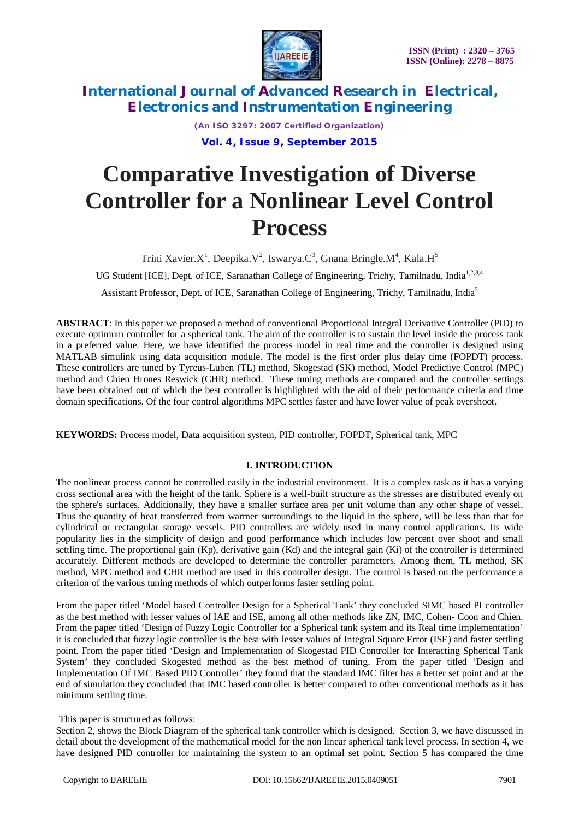

*(An ISO 3297: 2007 Certified Organization)* **Vol. 4, Issue 9, September 2015**

# **Comparative Investigation of Diverse Controller for a Nonlinear Level Control Process**

Trini Xavier.X<sup>1</sup>, Deepika.V<sup>2</sup>, Iswarya.C<sup>3</sup>, Gnana Bringle.M<sup>4</sup>, Kala.H<sup>5</sup>

UG Student [ICE], Dept. of ICE, Saranathan College of Engineering, Trichy, Tamilnadu, India<sup>1,2,3,4</sup>

Assistant Professor, Dept. of ICE, Saranathan College of Engineering, Trichy, Tamilnadu, India<sup>5</sup>

**ABSTRACT**: In this paper we proposed a method of conventional Proportional Integral Derivative Controller (PID) to execute optimum controller for a spherical tank. The aim of the controller is to sustain the level inside the process tank in a preferred value. Here, we have identified the process model in real time and the controller is designed using MATLAB simulink using data acquisition module. The model is the first order plus delay time (FOPDT) process. These controllers are tuned by Tyreus-Luben (TL) method, Skogestad (SK) method, Model Predictive Control (MPC) method and Chien Hrones Reswick (CHR) method. These tuning methods are compared and the controller settings have been obtained out of which the best controller is highlighted with the aid of their performance criteria and time domain specifications. Of the four control algorithms MPC settles faster and have lower value of peak overshoot.

**KEYWORDS:** Process model, Data acquisition system, PID controller, FOPDT, Spherical tank, MPC

### **I. INTRODUCTION**

The nonlinear process cannot be controlled easily in the industrial environment. It is a complex task as it has a varying cross sectional area with the height of the tank. Sphere is a well-built structure as the stresses are distributed evenly on the sphere's surfaces. Additionally, they have a smaller surface area per unit volume than any other shape of vessel. Thus the quantity of heat transferred from warmer surroundings to the liquid in the sphere, will be less than that for cylindrical or rectangular storage vessels. PID controllers are widely used in many control applications. Its wide popularity lies in the simplicity of design and good performance which includes low percent over shoot and small settling time. The proportional gain (Kp), derivative gain (Kd) and the integral gain (Ki) of the controller is determined accurately. Different methods are developed to determine the controller parameters. Among them, TL method, SK method, MPC method and CHR method are used in this controller design. The control is based on the performance a criterion of the various tuning methods of which outperforms faster settling point.

From the paper titled 'Model based Controller Design for a Spherical Tank' they concluded SIMC based PI controller as the best method with lesser values of IAE and ISE, among all other methods like ZN, IMC, Cohen- Coon and Chien. From the paper titled 'Design of Fuzzy Logic Controller for a Spherical tank system and its Real time implementation' it is concluded that fuzzy logic controller is the best with lesser values of Integral Square Error (ISE) and faster settling point. From the paper titled 'Design and Implementation of Skogestad PID Controller for Interacting Spherical Tank System' they concluded Skogested method as the best method of tuning. From the paper titled 'Design and Implementation Of IMC Based PID Controller' they found that the standard IMC filter has a better set point and at the end of simulation they concluded that IMC based controller is better compared to other conventional methods as it has minimum settling time.

#### This paper is structured as follows:

Section 2, shows the Block Diagram of the spherical tank controller which is designed. Section 3, we have discussed in detail about the development of the mathematical model for the non linear spherical tank level process. In section 4, we have designed PID controller for maintaining the system to an optimal set point. Section 5 has compared the time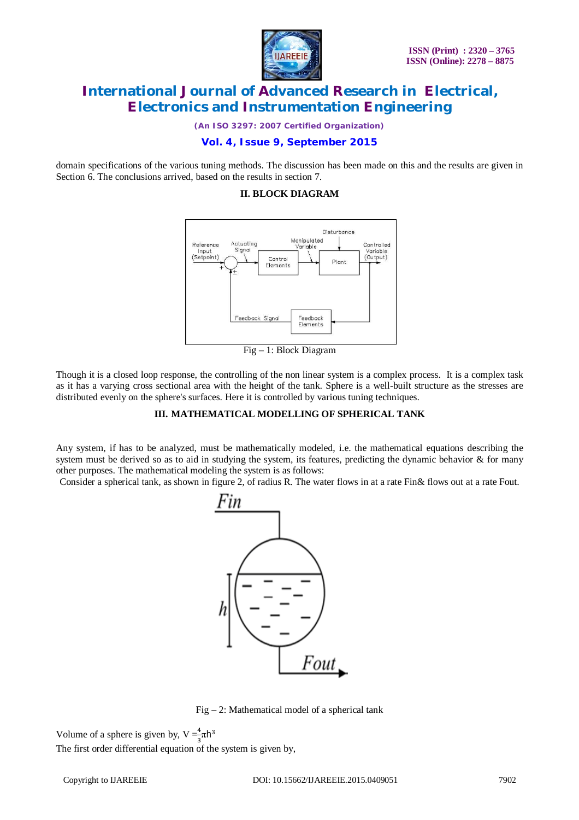

*(An ISO 3297: 2007 Certified Organization)*

### **Vol. 4, Issue 9, September 2015**

domain specifications of the various tuning methods. The discussion has been made on this and the results are given in Section 6. The conclusions arrived, based on the results in section 7.

#### **II. BLOCK DIAGRAM**



Fig – 1: Block Diagram

Though it is a closed loop response, the controlling of the non linear system is a complex process. It is a complex task as it has a varying cross sectional area with the height of the tank. Sphere is a well-built structure as the stresses are distributed evenly on the sphere's surfaces. Here it is controlled by various tuning techniques.

### **III. MATHEMATICAL MODELLING OF SPHERICAL TANK**

Any system, if has to be analyzed, must be mathematically modeled, i.e. the mathematical equations describing the system must be derived so as to aid in studying the system, its features, predicting the dynamic behavior & for many other purposes. The mathematical modeling the system is as follows:

Consider a spherical tank, as shown in figure 2, of radius R. The water flows in at a rate Fin& flows out at a rate Fout.



Fig – 2: Mathematical model of a spherical tank

Volume of a sphere is given by,  $V = \frac{4}{3}\pi h^3$ 

The first order differential equation of the system is given by,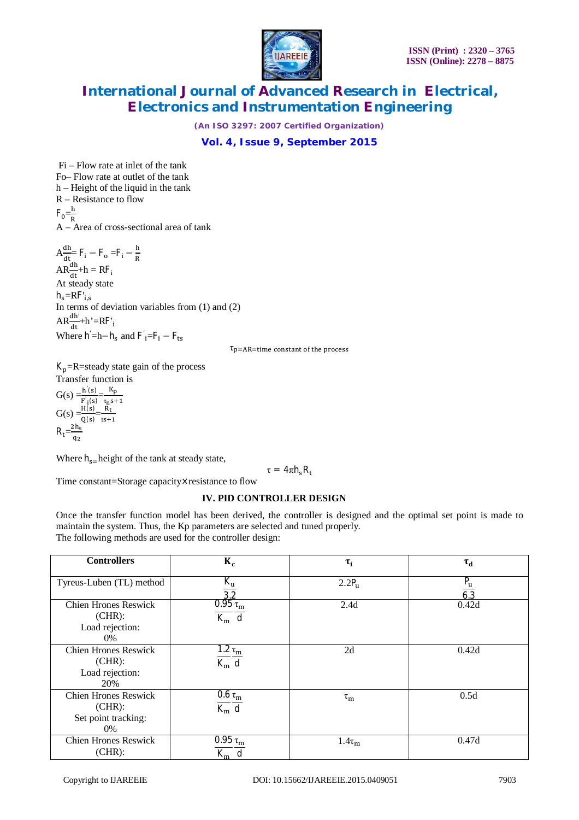

*(An ISO 3297: 2007 Certified Organization)*

**Vol. 4, Issue 9, September 2015**

Fi – Flow rate at inlet of the tank Fo– Flow rate at outlet of the tank h – Height of the liquid in the tank R – Resistance to flow  $F_0 = \frac{h}{R}$ R A – Area of cross-sectional area of tank  $A_{\overline{a}}^{dh}$  $rac{dh}{dt}$ = F<sub>i</sub> – F<sub>o</sub> = F<sub>i</sub> –  $rac{h}{R}$  $AR\frac{dh}{dt} + h = RF_i$ At steady state  $h_s = RF'_{i,s}$ In terms of deviation variables from (1) and (2)  $AR\frac{dh'}{dt} + h' = RF'_{i}$ Where  $h' = h - h_s$  and  $F'_i = F_i - F_{ts}$ 

 $\tau_{\rm p=AR-time}$  constant of the process

 $K_p$ =R=steady state gain of the process Transfer function is

 $G(s) = \frac{h'(s)}{h'(s)}$  $\frac{h'(s)}{F'_1(s)} = \frac{K_p}{\tau_n s}$  $G(s) = \frac{H(s)}{Q(s)} = \frac{R_t}{\tau s + 1}$  $\tau s+1$  $R_t = \frac{2h_s}{a_s}$ q<sub>2</sub>

Where  $h_{s=}$  height of the tank at steady state,

 $\tau = 4\pi h_{\rm s} R_{\rm t}$ 

Time constant=Storage capacity×resistance to flow

#### **IV. PID CONTROLLER DESIGN**

Once the transfer function model has been derived, the controller is designed and the optimal set point is made to maintain the system. Thus, the Kp parameters are selected and tuned properly. The following methods are used for the controller design:

| <b>Controllers</b>          | $K_c$                             | $\tau_i$          | $\tau_{\rm d}$ |
|-----------------------------|-----------------------------------|-------------------|----------------|
|                             |                                   |                   |                |
| Tyreus-Luben (TL) method    | $K_{\rm u}$                       | 2.2P <sub>u</sub> | $P_u$          |
|                             | 3.2                               |                   |                |
| <b>Chien Hrones Reswick</b> | $0.95\tau_m$                      | 2.4d              | 0.42d          |
| $(CHR)$ :                   | $K_m$ d                           |                   |                |
| Load rejection:             |                                   |                   |                |
| 0%                          |                                   |                   |                |
| <b>Chien Hrones Reswick</b> | 1.2 $\tau_{\rm m}$                | 2d                | 0.42d          |
| $(CHR)$ :                   | $\overline{K_m}$ d                |                   |                |
| Load rejection:             |                                   |                   |                |
| 20%                         |                                   |                   |                |
| <b>Chien Hrones Reswick</b> | $\overline{0}$ .6 $\tau_{\rm m}$  | $\tau_{\rm m}$    | 0.5d           |
| $(CHR)$ :                   | $\overline{K_m}$ d                |                   |                |
| Set point tracking:         |                                   |                   |                |
| 0%                          |                                   |                   |                |
| <b>Chien Hrones Reswick</b> | $\overline{0.95} \tau_{\text{m}}$ | $1.4\tau_m$       | 0.47d          |
| $(CHR)$ :                   | $K_m$ d                           |                   |                |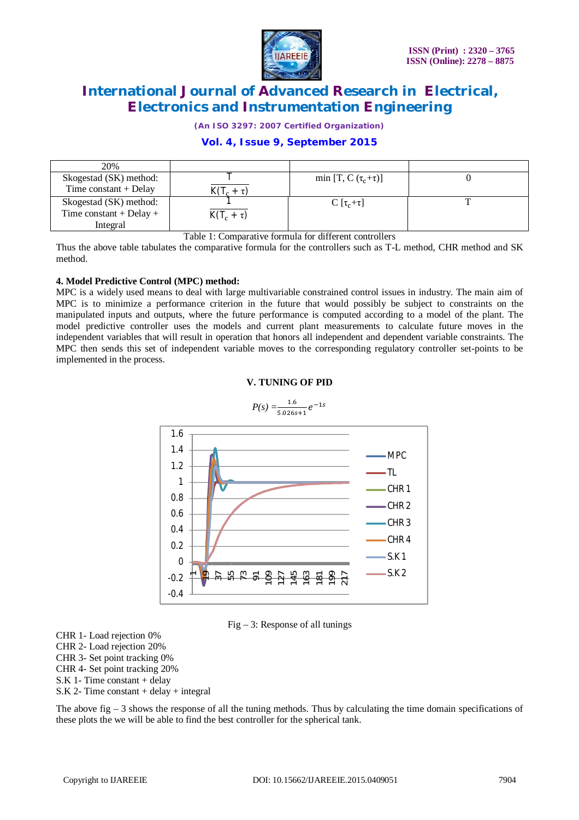

*(An ISO 3297: 2007 Certified Organization)*

### **Vol. 4, Issue 9, September 2015**

| 20%                     |                 |                             |  |
|-------------------------|-----------------|-----------------------------|--|
| Skogestad (SK) method:  |                 | min [T, C $(\tau_c+\tau)$ ] |  |
| Time constant $+$ Delay |                 |                             |  |
| Skogestad (SK) method:  |                 | $C[\tau_c+\tau]$            |  |
| Time constant + Delay + | $K(T_c + \tau)$ |                             |  |
| Integral                |                 |                             |  |

Table 1: Comparative formula for different controllers

Thus the above table tabulates the comparative formula for the controllers such as T-L method, CHR method and SK method.

### **4. Model Predictive Control (MPC) method:**

MPC is a widely used means to deal with large multivariable constrained control issues in industry. The main aim of MPC is to minimize a performance criterion in the future that would possibly be subject to constraints on the manipulated inputs and outputs, where the future performance is computed according to a model of the plant. The model predictive controller uses the models and current plant measurements to calculate future moves in the independent variables that will result in operation that honors all independent and dependent variable constraints. The MPC then sends this set of independent variable moves to the corresponding regulatory controller set-points to be implemented in the process.





 $Fig - 3: Response of all tunings$ 

CHR 1- Load rejection 0% CHR 2- Load rejection 20% CHR 3- Set point tracking 0% CHR 4- Set point tracking 20% S.K 1- Time constant + delay  $S.K 2$ - Time constant + delay + integral

The above fig – 3 shows the response of all the tuning methods. Thus by calculating the time domain specifications of these plots the we will be able to find the best controller for the spherical tank.